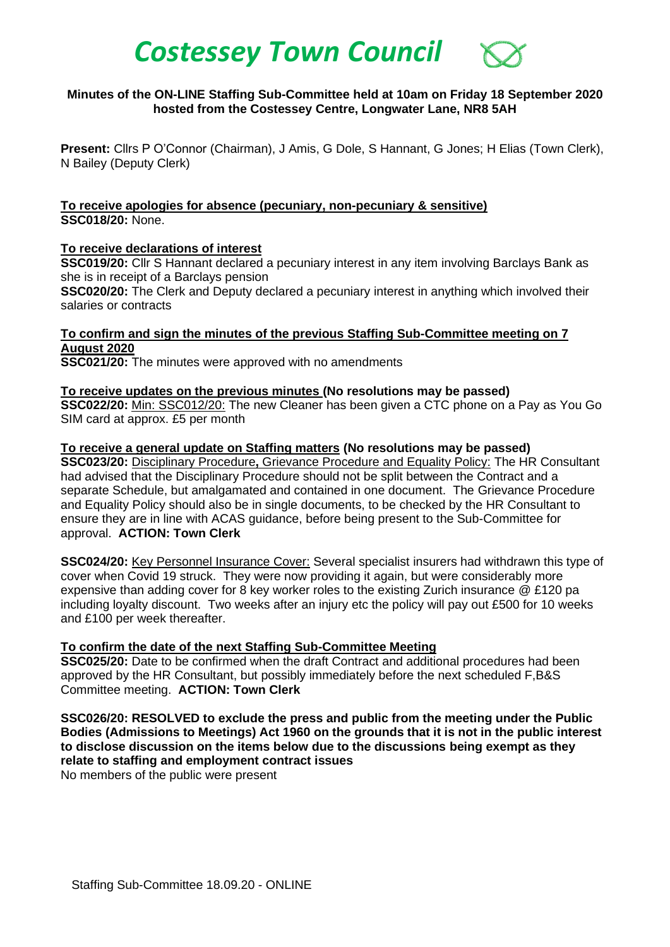# *Costessey Town Council*

## **Minutes of the ON-LINE Staffing Sub-Committee held at 10am on Friday 18 September 2020 hosted from the Costessey Centre, Longwater Lane, NR8 5AH**

**Present:** Cllrs P O'Connor (Chairman), J Amis, G Dole, S Hannant, G Jones; H Elias (Town Clerk), N Bailey (Deputy Clerk)

**To receive apologies for absence (pecuniary, non-pecuniary & sensitive) SSC018/20:** None.

## **To receive declarations of interest**

**SSC019/20:** Cllr S Hannant declared a pecuniary interest in any item involving Barclays Bank as she is in receipt of a Barclays pension

**SSC020/20:** The Clerk and Deputy declared a pecuniary interest in anything which involved their salaries or contracts

**To confirm and sign the minutes of the previous Staffing Sub-Committee meeting on 7 August 2020**

**SSC021/20:** The minutes were approved with no amendments

## **To receive updates on the previous minutes (No resolutions may be passed)**

**SSC022/20:** Min: SSC012/20: The new Cleaner has been given a CTC phone on a Pay as You Go SIM card at approx. £5 per month

## **To receive a general update on Staffing matters (No resolutions may be passed)**

**SSC023/20:** Disciplinary Procedure**,** Grievance Procedure and Equality Policy: The HR Consultant had advised that the Disciplinary Procedure should not be split between the Contract and a separate Schedule, but amalgamated and contained in one document. The Grievance Procedure and Equality Policy should also be in single documents, to be checked by the HR Consultant to ensure they are in line with ACAS guidance, before being present to the Sub-Committee for approval. **ACTION: Town Clerk**

**SSC024/20:** Key Personnel Insurance Cover: Several specialist insurers had withdrawn this type of cover when Covid 19 struck. They were now providing it again, but were considerably more expensive than adding cover for 8 key worker roles to the existing Zurich insurance @ £120 pa including loyalty discount. Two weeks after an injury etc the policy will pay out £500 for 10 weeks and £100 per week thereafter.

## **To confirm the date of the next Staffing Sub-Committee Meeting**

**SSC025/20:** Date to be confirmed when the draft Contract and additional procedures had been approved by the HR Consultant, but possibly immediately before the next scheduled F,B&S Committee meeting. **ACTION: Town Clerk**

**SSC026/20: RESOLVED to exclude the press and public from the meeting under the Public Bodies (Admissions to Meetings) Act 1960 on the grounds that it is not in the public interest to disclose discussion on the items below due to the discussions being exempt as they relate to staffing and employment contract issues**

No members of the public were present